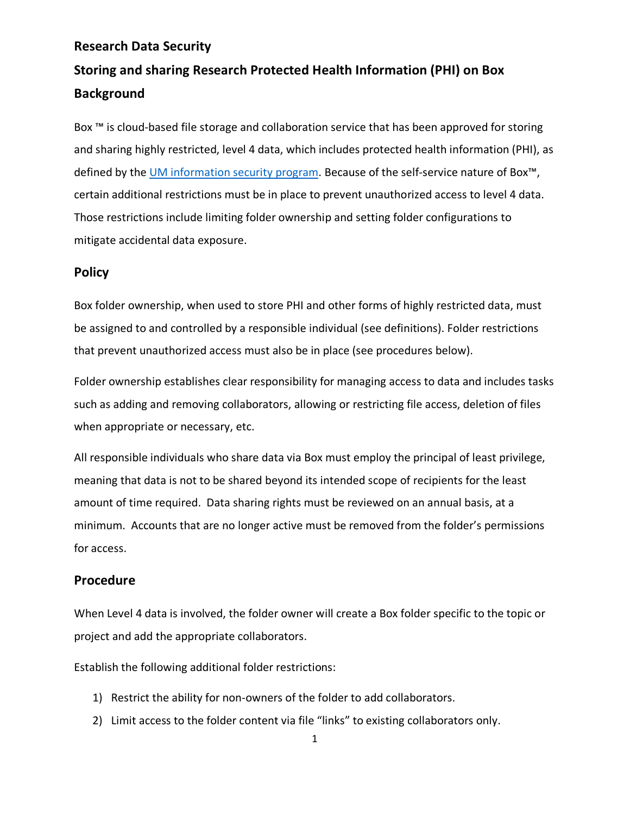# **Research Data Security Storing and sharing Research Protected Health Information (PHI) on Box Background**

Box ™ is cloud-based file storage and collaboration service that has been approved for storing and sharing highly restricted, level 4 data, which includes protected health information (PHI), as defined by the UM information security program. Because of the self-service nature of Box<sup>™</sup>, certain additional restrictions must be in place to prevent unauthorized access to level 4 data. Those restrictions include limiting folder ownership and setting folder configurations to mitigate accidental data exposure.

#### **Policy**

Box folder ownership, when used to store PHI and other forms of highly restricted data, must be assigned to and controlled by a responsible individual (see definitions). Folder restrictions that prevent unauthorized access must also be in place (see procedures below).

Folder ownership establishes clear responsibility for managing access to data and includes tasks such as adding and removing collaborators, allowing or restricting file access, deletion of files when appropriate or necessary, etc.

All responsible individuals who share data via Box must employ the principal of least privilege, meaning that data is not to be shared beyond its intended scope of recipients for the least amount of time required. Data sharing rights must be reviewed on an annual basis, at a minimum. Accounts that are no longer active must be removed from the folder's permissions for access.

#### **Procedure**

When Level 4 data is involved, the folder owner will create a Box folder specific to the topic or project and add the appropriate collaborators.

Establish the following additional folder restrictions:

- 1) Restrict the ability for non-owners of the folder to add collaborators.
- 2) Limit access to the folder content via file "links" to existing collaborators only.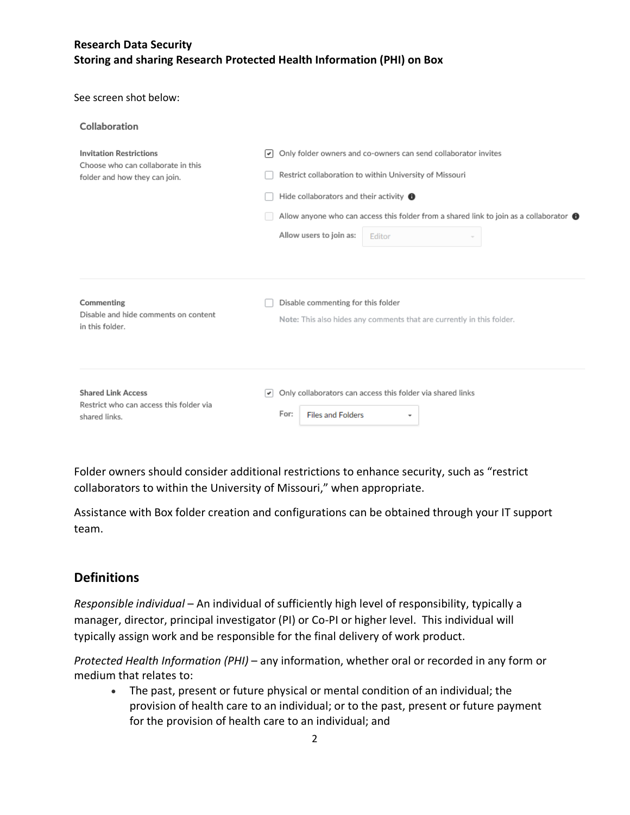# **Research Data Security Storing and sharing Research Protected Health Information (PHI) on Box**

#### See screen shot below:

| Collaboration                                                                                         |                                                                                                                                                                                                                                                                                                                                             |
|-------------------------------------------------------------------------------------------------------|---------------------------------------------------------------------------------------------------------------------------------------------------------------------------------------------------------------------------------------------------------------------------------------------------------------------------------------------|
| <b>Invitation Restrictions</b><br>Choose who can collaborate in this<br>folder and how they can join. | Only folder owners and co-owners can send collaborator invites<br>$\left  \right $<br>Restrict collaboration to within University of Missouri<br>Hide collaborators and their activity $\bigoplus$<br>Allow anyone who can access this folder from a shared link to join as a collaborator $\bigoplus$<br>Allow users to join as:<br>Editor |
| Commenting<br>Disable and hide comments on content<br>in this folder.                                 | Disable commenting for this folder<br>Note: This also hides any comments that are currently in this folder.                                                                                                                                                                                                                                 |
| <b>Shared Link Access</b><br>Restrict who can access this folder via<br>shared links.                 | Only collaborators can access this folder via shared links<br>(≁<br>For:<br><b>Files and Folders</b><br>٠                                                                                                                                                                                                                                   |

Folder owners should consider additional restrictions to enhance security, such as "restrict collaborators to within the University of Missouri," when appropriate.

Assistance with Box folder creation and configurations can be obtained through your IT support team.

### **Definitions**

*Responsible individual* – An individual of sufficiently high level of responsibility, typically a manager, director, principal investigator (PI) or Co-PI or higher level. This individual will typically assign work and be responsible for the final delivery of work product.

*Protected Health Information (PHI)* – any information, whether oral or recorded in any form or medium that relates to:

• The past, present or future physical or mental condition of an individual; the provision of health care to an individual; or to the past, present or future payment for the provision of health care to an individual; and